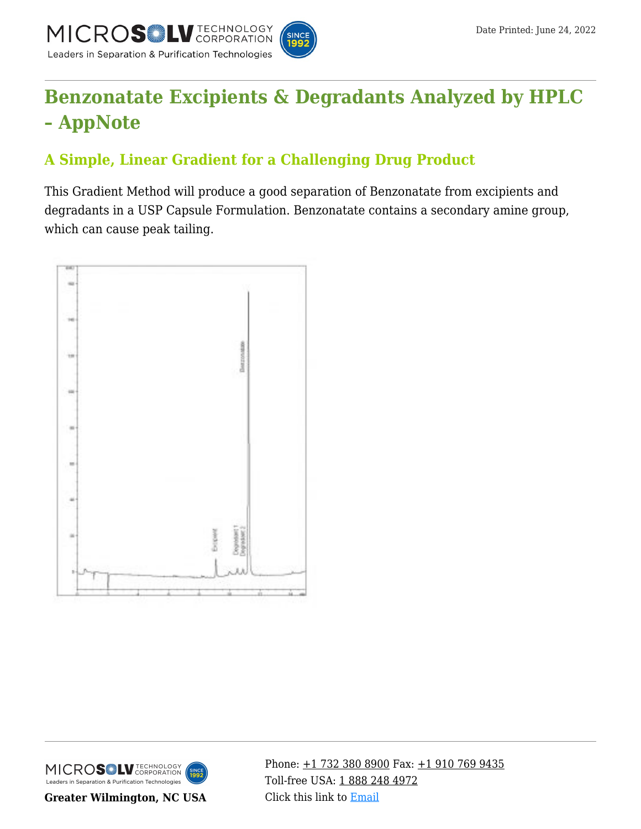

# **[Benzonatate Excipients & Degradants Analyzed by HPLC](https://kb.mtc-usa.com/article/aa-00698/46/) [– AppNote](https://kb.mtc-usa.com/article/aa-00698/46/)**

## **A Simple, Linear Gradient for a Challenging Drug Product**

This Gradient Method will produce a good separation of Benzonatate from excipients and degradants in a USP Capsule Formulation. Benzonatate contains a secondary amine group, which can cause peak tailing.





**Greater Wilmington, NC USA**

Phone:  $\pm$ 1 732 380 8900 Fax:  $\pm$ 1 910 769 9435 Toll-free USA: [1 888 248 4972](#page--1-0) Click this link to [Email](https://www.mtc-usa.com/contact)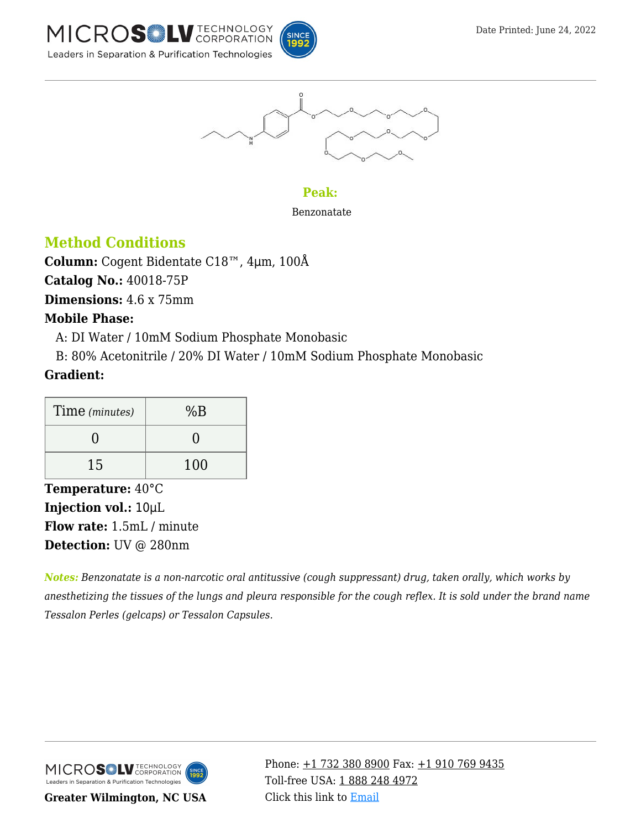







#### **Peak:**

Benzonatate

## **Method Conditions**

**Column:** Cogent Bidentate C18™, 4μm, 100Å

**Catalog No.:** 40018-75P

**Dimensions:** 4.6 x 75mm

## **Mobile Phase:**

—A: DI Water / 10mM Sodium Phosphate Monobasic

—B: 80% Acetonitrile / 20% DI Water / 10mM Sodium Phosphate Monobasic

## **Gradient:**

| Time (minutes) | %B  |
|----------------|-----|
|                |     |
| 15             | 100 |

**Temperature:** 40°C **Injection vol.:** 10μL **Flow rate:** 1.5mL / minute **Detection:** UV @ 280nm

*Notes: Benzonatate is a non-narcotic oral antitussive (cough suppressant) drug, taken orally, which works by anesthetizing the tissues of the lungs and pleura responsible for the cough reflex. It is sold under the brand name Tessalon Perles (gelcaps) or Tessalon Capsules.*



**Greater Wilmington, NC USA**

Phone:  $\pm$ 1 732 380 8900 Fax:  $\pm$ 1 910 769 9435 Toll-free USA: [1 888 248 4972](#page--1-0) Click this link to [Email](https://www.mtc-usa.com/contact)